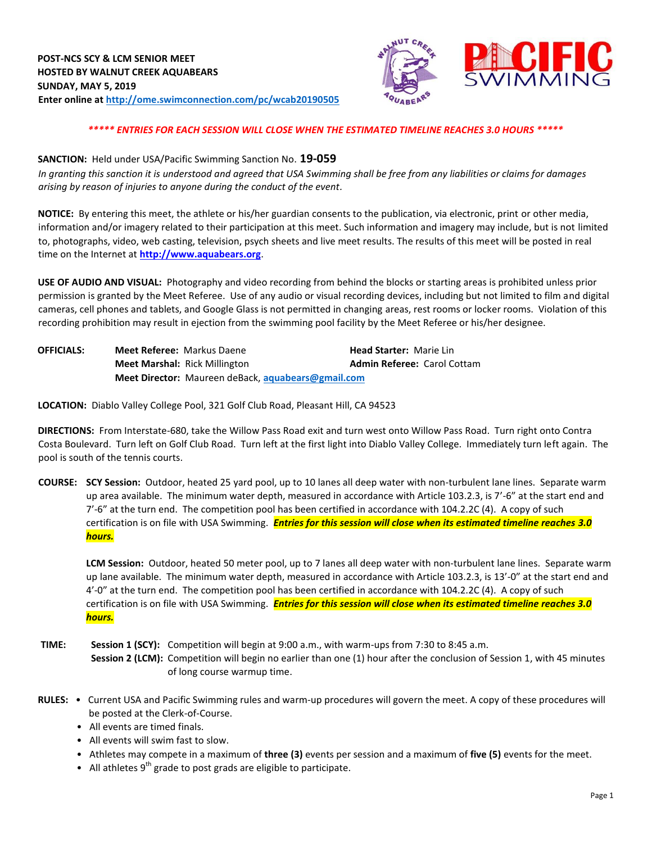

# *\*\*\*\*\* ENTRIES FOR EACH SESSION WILL CLOSE WHEN THE ESTIMATED TIMELINE REACHES 3.0 HOURS \*\*\*\*\**

### **SANCTION:** Held under USA/Pacific Swimming Sanction No. **19-059**

*In granting this sanction it is understood and agreed that USA Swimming shall be free from any liabilities or claims for damages arising by reason of injuries to anyone during the conduct of the event.* 

**NOTICE:** By entering this meet, the athlete or his/her guardian consents to the publication, via electronic, print or other media, information and/or imagery related to their participation at this meet. Such information and imagery may include, but is not limited to, photographs, video, web casting, television, psych sheets and live meet results. The results of this meet will be posted in real time on the Internet at **[http://www.aquabears.org](http://www.aquabears.org/)**[.](http://www.aquabears.org/)

**USE OF AUDIO AND VISUAL:** Photography and video recording from behind the blocks or starting areas is prohibited unless prior permission is granted by the Meet Referee. Use of any audio or visual recording devices, including but not limited to film and digital cameras, cell phones and tablets, and Google Glass is not permitted in changing areas, rest rooms or locker rooms. Violation of this recording prohibition may result in ejection from the swimming pool facility by the Meet Referee or his/her designee.

| <b>OFFICIALS:</b> | <b>Meet Referee: Markus Daene</b>                         | <b>Head Starter: Marie Lin</b>     |  |  |  |  |  |
|-------------------|-----------------------------------------------------------|------------------------------------|--|--|--|--|--|
|                   | <b>Meet Marshal: Rick Millington</b>                      | <b>Admin Referee: Carol Cottam</b> |  |  |  |  |  |
|                   | <b>Meet Director:</b> Maureen deBack, aquabears@gmail.com |                                    |  |  |  |  |  |

**LOCATION:** Diablo Valley College Pool, 321 Golf Club Road, Pleasant Hill, CA 94523

**DIRECTIONS:** From Interstate-680, take the Willow Pass Road exit and turn west onto Willow Pass Road. Turn right onto Contra Costa Boulevard. Turn left on Golf Club Road. Turn left at the first light into Diablo Valley College. Immediately turn left again. The pool is south of the tennis courts.

**COURSE: SCY Session:** Outdoor, heated 25 yard pool, up to 10 lanes all deep water with non-turbulent lane lines. Separate warm up area available. The minimum water depth, measured in accordance with Article 103.2.3, is 7'-6" at the start end and 7'-6" at the turn end. The competition pool has been certified in accordance with 104.2.2C (4). A copy of such certification is on file with USA Swimming. *Entries for this session will close when its estimated timeline reaches 3.0 hours.*

**LCM Session:** Outdoor, heated 50 meter pool, up to 7 lanes all deep water with non-turbulent lane lines. Separate warm up lane available. The minimum water depth, measured in accordance with Article 103.2.3, is 13'-0" at the start end and 4'-0" at the turn end. The competition pool has been certified in accordance with 104.2.2C (4). A copy of such certification is on file with USA Swimming. *Entries for this session will close when its estimated timeline reaches 3.0 hours.*

**TIME: Session 1 (SCY):** Competition will begin at 9:00 a.m., with warm-ups from 7:30 to 8:45 a.m. **Session 2 (LCM):** Competition will begin no earlier than one (1) hour after the conclusion of Session 1, with 45 minutes of long course warmup time.

- **RULES:**  Current USA and Pacific Swimming rules and warm-up procedures will govern the meet. A copy of these procedures will be posted at the Clerk-of-Course.
	- All events are timed finals.
	- All events will swim fast to slow.
	- Athletes may compete in a maximum of **three (3)** events per session and a maximum of **five (5)** events for the meet.
	- $\bullet$  All athletes 9<sup>th</sup> grade to post grads are eligible to participate.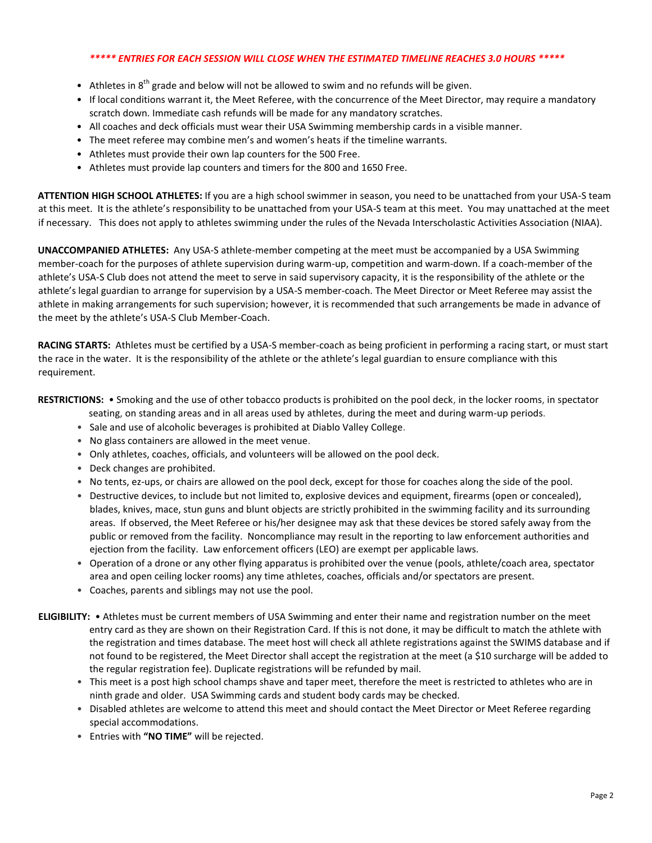# *\*\*\*\*\* ENTRIES FOR EACH SESSION WILL CLOSE WHEN THE ESTIMATED TIMELINE REACHES 3.0 HOURS \*\*\*\*\**

- Athletes in  $8<sup>th</sup>$  grade and below will not be allowed to swim and no refunds will be given.
- If local conditions warrant it, the Meet Referee, with the concurrence of the Meet Director, may require a mandatory scratch down. Immediate cash refunds will be made for any mandatory scratches.
- All coaches and deck officials must wear their USA Swimming membership cards in a visible manner.
- The meet referee may combine men's and women's heats if the timeline warrants.
- Athletes must provide their own lap counters for the 500 Free.
- Athletes must provide lap counters and timers for the 800 and 1650 Free.

**ATTENTION HIGH SCHOOL ATHLETES:** If you are a high school swimmer in season, you need to be unattached from your USA-S team at this meet. It is the athlete's responsibility to be unattached from your USA-S team at this meet. You may unattached at the meet if necessary. This does not apply to athletes swimming under the rules of the Nevada Interscholastic Activities Association (NIAA).

**UNACCOMPANIED ATHLETES:** Any USA-S athlete-member competing at the meet must be accompanied by a USA Swimming member-coach for the purposes of athlete supervision during warm-up, competition and warm-down. If a coach-member of the athlete's USA-S Club does not attend the meet to serve in said supervisory capacity, it is the responsibility of the athlete or the athlete's legal guardian to arrange for supervision by a USA-S member-coach. The Meet Director or Meet Referee may assist the athlete in making arrangements for such supervision; however, it is recommended that such arrangements be made in advance of the meet by the athlete's USA-S Club Member-Coach.

**RACING STARTS:** Athletes must be certified by a USA-S member-coach as being proficient in performing a racing start, or must start the race in the water. It is the responsibility of the athlete or the athlete's legal guardian to ensure compliance with this requirement.

**RESTRICTIONS:** • Smoking and the use of other tobacco products is prohibited on the pool deck, in the locker rooms, in spectator

seating, on standing areas and in all areas used by athletes, during the meet and during warm-up periods.

- Sale and use of alcoholic beverages is prohibited at Diablo Valley College.
- No glass containers are allowed in the meet venue.
- Only athletes, coaches, officials, and volunteers will be allowed on the pool deck.
- Deck changes are prohibited.
- No tents, ez-ups, or chairs are allowed on the pool deck, except for those for coaches along the side of the pool.
- Destructive devices, to include but not limited to, explosive devices and equipment, firearms (open or concealed), blades, knives, mace, stun guns and blunt objects are strictly prohibited in the swimming facility and its surrounding areas. If observed, the Meet Referee or his/her designee may ask that these devices be stored safely away from the public or removed from the facility. Noncompliance may result in the reporting to law enforcement authorities and ejection from the facility. Law enforcement officers (LEO) are exempt per applicable laws.
- Operation of a drone or any other flying apparatus is prohibited over the venue (pools, athlete/coach area, spectator area and open ceiling locker rooms) any time athletes, coaches, officials and/or spectators are present.
- Coaches, parents and siblings may not use the pool.
- **ELIGIBILITY:**  Athletes must be current members of USA Swimming and enter their name and registration number on the meet entry card as they are shown on their Registration Card. If this is not done, it may be difficult to match the athlete with the registration and times database. The meet host will check all athlete registrations against the SWIMS database and if not found to be registered, the Meet Director shall accept the registration at the meet (a \$10 surcharge will be added to the regular registration fee). Duplicate registrations will be refunded by mail.
	- This meet is a post high school champs shave and taper meet, therefore the meet is restricted to athletes who are in ninth grade and older. USA Swimming cards and student body cards may be checked.
	- Disabled athletes are welcome to attend this meet and should contact the Meet Director or Meet Referee regarding special accommodations.
	- Entries with **"NO TIME"** will be rejected.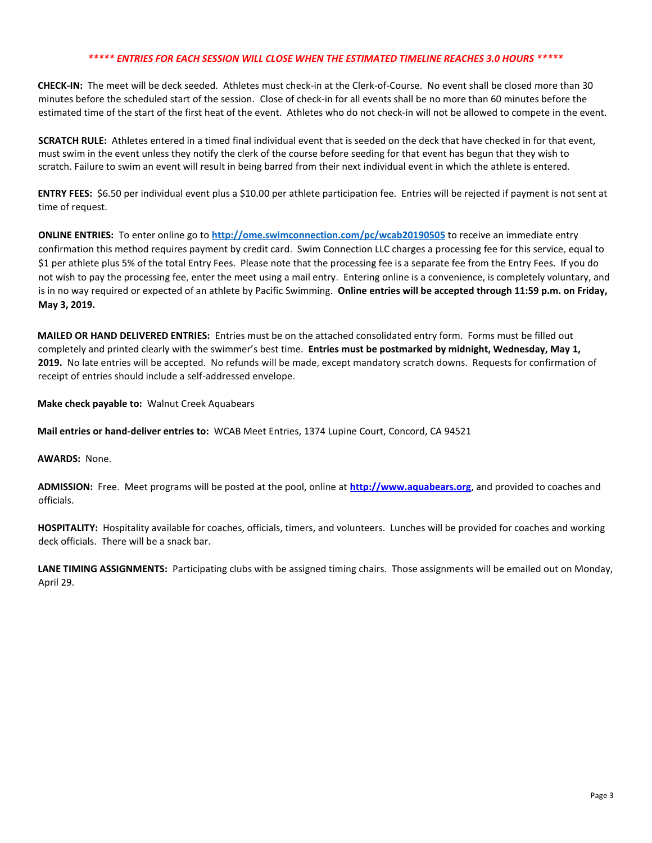### *\*\*\*\*\* ENTRIES FOR EACH SESSION WILL CLOSE WHEN THE ESTIMATED TIMELINE REACHES 3.0 HOURS \*\*\*\*\**

**CHECK-IN:** The meet will be deck seeded. Athletes must check-in at the Clerk-of-Course. No event shall be closed more than 30 minutes before the scheduled start of the session. Close of check‐in for all events shall be no more than 60 minutes before the estimated time of the start of the first heat of the event. Athletes who do not check-in will not be allowed to compete in the event.

**SCRATCH RULE:** Athletes entered in a timed final individual event that is seeded on the deck that have checked in for that event, must swim in the event unless they notify the clerk of the course before seeding for that event has begun that they wish to scratch. Failure to swim an event will result in being barred from their next individual event in which the athlete is entered.

**ENTRY FEES:** \$6.50 per individual event plus a \$10.00 per athlete participation fee. Entries will be rejected if payment is not sent at time of request.

**ONLINE ENTRIES:** To enter online go to **<http://ome.swimconnection.com/pc/wcab20190505>** [to](http://ome.swimconnection.com/pc/wcab20150517) receive an immediate entry confirmation this method requires payment by credit card. Swim Connection LLC charges a processing fee for this service, equal to \$1 per athlete plus 5% of the total Entry Fees. Please note that the processing fee is a separate fee from the Entry Fees. If you do not wish to pay the processing fee, enter the meet using a mail entry. Entering online is a convenience, is completely voluntary, and is in no way required or expected of an athlete by Pacific Swimming. **Online entries will be accepted through 11:59 p.m. on Friday, May 3, 2019.** 

**MAILED OR HAND DELIVERED ENTRIES:** Entries must be on the attached consolidated entry form. Forms must be filled out completely and printed clearly with the swimmer's best time. **Entries must be postmarked by midnight, Wednesday, May 1, 2019.** No late entries will be accepted. No refunds will be made, except mandatory scratch downs. Requests for confirmation of receipt of entries should include a self-addressed envelope.

**Make check payable to:** Walnut Creek Aquabears

**Mail entries or hand-deliver entries to:** WCAB Meet Entries, 1374 Lupine Court, Concord, CA 94521

#### **AWARDS:** None.

**ADMISSION:** Free. Meet programs will be posted at the pool, online at **[http://www.aquabears.org](http://www.aquabears.org/)**, and provided to coaches and officials.

**HOSPITALITY:** Hospitality available for coaches, officials, timers, and volunteers. Lunches will be provided for coaches and working deck officials. There will be a snack bar.

**LANE TIMING ASSIGNMENTS:** Participating clubs with be assigned timing chairs. Those assignments will be emailed out on Monday, April 29.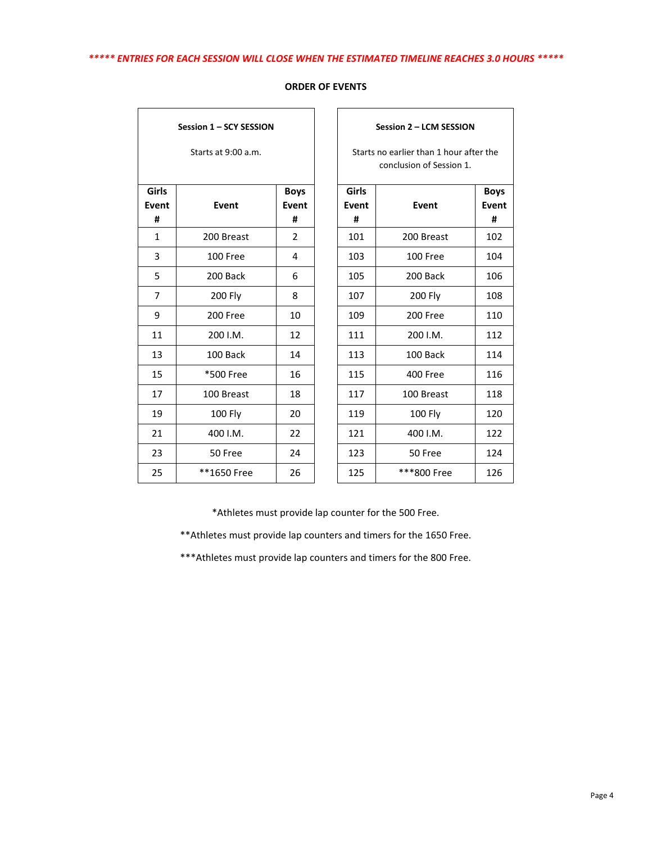| Session 1 - SCY SESSION<br>Starts at 9:00 a.m. |             |                             |  |  |  |  |  |  |  |
|------------------------------------------------|-------------|-----------------------------|--|--|--|--|--|--|--|
| <b>Girls</b><br>Event                          | Event       | <b>Boys</b><br><b>Event</b> |  |  |  |  |  |  |  |
| #                                              |             | #                           |  |  |  |  |  |  |  |
| $\mathbf{1}$                                   | 200 Breast  | 2                           |  |  |  |  |  |  |  |
| 3                                              | 100 Free    | 4                           |  |  |  |  |  |  |  |
| 5                                              | 200 Back    | 6                           |  |  |  |  |  |  |  |
| 7                                              | 200 Fly     | 8                           |  |  |  |  |  |  |  |
| 9                                              | 200 Free    | 10                          |  |  |  |  |  |  |  |
| 11                                             | 200 I.M.    | 12                          |  |  |  |  |  |  |  |
| 13                                             | 100 Back    | 14                          |  |  |  |  |  |  |  |
| 15                                             | *500 Free   | 16                          |  |  |  |  |  |  |  |
| 17                                             | 100 Breast  | 18                          |  |  |  |  |  |  |  |
| 19                                             | 100 Fly     | 20                          |  |  |  |  |  |  |  |
| 21                                             | 400 I.M.    | 22                          |  |  |  |  |  |  |  |
| 23                                             | 50 Free     | 24                          |  |  |  |  |  |  |  |
| 25                                             | **1650 Free | 26                          |  |  |  |  |  |  |  |

## **ORDER OF EVENTS**

|                | Starts at 9:00 a.m. |                |            | Starts no earlier than 1 hour after the<br>conclusion of Session 1. |             |  |  |  |
|----------------|---------------------|----------------|------------|---------------------------------------------------------------------|-------------|--|--|--|
| iirls          |                     | <b>Boys</b>    | Girls      |                                                                     | <b>Boys</b> |  |  |  |
| ent/<br>#      | Event               | Event<br>#     | Event<br># | Event                                                               | Event<br>#  |  |  |  |
| 1              | 200 Breast          | $\overline{2}$ | 101        | 200 Breast                                                          | 102         |  |  |  |
| 3              | 100 Free            | 4              | 103        | 100 Free                                                            | 104         |  |  |  |
| $\overline{5}$ | 200 Back            | 6              | 105        | 200 Back                                                            | 106         |  |  |  |
| $\overline{7}$ | 200 Fly             | 8              | 107        | 200 Fly                                                             | 108         |  |  |  |
| 9              | 200 Free            | 10             | 109        | 200 Free                                                            | 110         |  |  |  |
| 11             | 200 I.M.            | 12             | 111        | 200 I.M.                                                            | 112         |  |  |  |
| 13             | 100 Back            | 14             | 113        | 100 Back                                                            | 114         |  |  |  |
| 15             | *500 Free           | 16             | 115        | 400 Free                                                            | 116         |  |  |  |
| 17             | 100 Breast          | 18             | 117        | 100 Breast                                                          | 118         |  |  |  |
| 19             | 100 Fly             | 20             | 119        | 100 Fly                                                             | 120         |  |  |  |
| 21             | 400 I.M.            | 22             | 121        | 400 I.M.                                                            | 122         |  |  |  |
| 23             | 50 Free             | 24             | 123        | 50 Free                                                             | 124         |  |  |  |
| 25             | **1650 Free         | 26             | 125        | ***800 Free                                                         | 126         |  |  |  |

**Session 2 – LCM SESSION**

\*Athletes must provide lap counter for the 500 Free.

\*\*Athletes must provide lap counters and timers for the 1650 Free.

\*\*\*Athletes must provide lap counters and timers for the 800 Free.